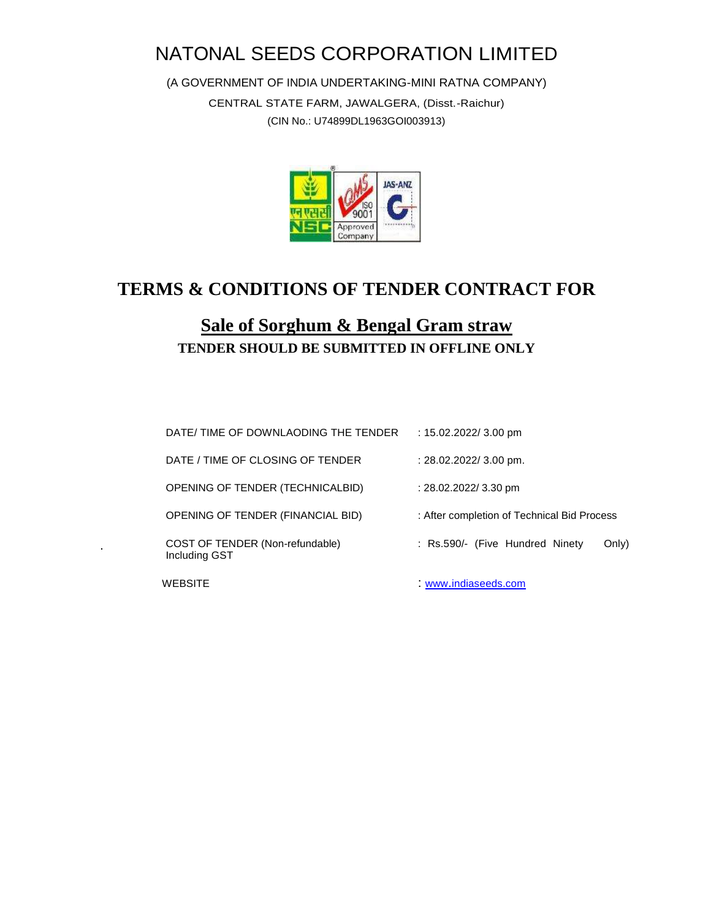# NATONAL SEEDS CORPORATION LIMITED

(A GOVERNMENT OF INDIA UNDERTAKING-MINI RATNA COMPANY)

CENTRAL STATE FARM, JAWALGERA, (Disst.-Raichur) (CIN No.: U74899DL1963GOI003913)



# **TERMS & CONDITIONS OF TENDER CONTRACT FOR**

## **Sale of Sorghum & Bengal Gram straw TENDER SHOULD BE SUBMITTED IN OFFLINE ONLY**

 $\mathbf{r}$ 

| DATE/ TIME OF DOWNLAODING THE TENDER             | : $15.02.2022/3.00$ pm                      |
|--------------------------------------------------|---------------------------------------------|
| DATE / TIME OF CLOSING OF TENDER                 | $: 28.02.2022 / 3.00$ pm.                   |
| OPENING OF TENDER (TECHNICALBID)                 | : 28.02.2022/ 3.30 pm                       |
| OPENING OF TENDER (FINANCIAL BID)                | : After completion of Technical Bid Process |
| COST OF TENDER (Non-refundable)<br>Including GST | : Rs.590/- (Five Hundred Ninety<br>Only)    |
| WEBSITE                                          | www.indiaseeds.com                          |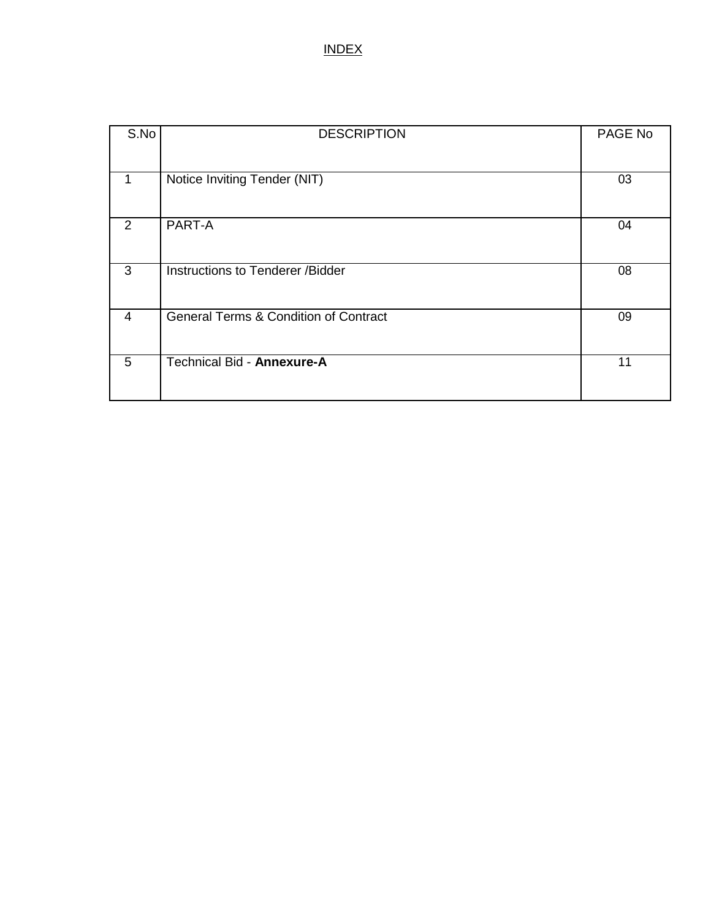#### INDEX

| S.No           | <b>DESCRIPTION</b>                               | PAGE No |
|----------------|--------------------------------------------------|---------|
|                |                                                  |         |
| 1              | Notice Inviting Tender (NIT)                     | 03      |
|                |                                                  |         |
| 2              | PART-A                                           | 04      |
|                |                                                  |         |
| 3              | Instructions to Tenderer /Bidder                 | 08      |
|                |                                                  |         |
| $\overline{4}$ | <b>General Terms &amp; Condition of Contract</b> | 09      |
|                |                                                  |         |
| 5              | Technical Bid - Annexure-A                       | 11      |
|                |                                                  |         |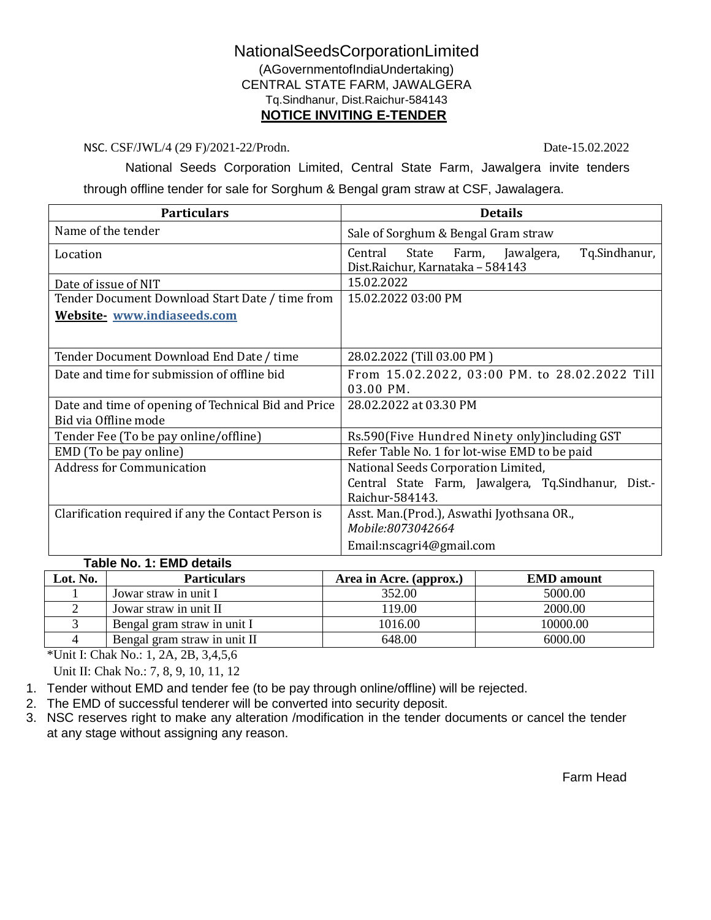#### NationalSeedsCorporationLimited (AGovernmentofIndiaUndertaking) CENTRAL STATE FARM, JAWALGERA Tq.Sindhanur, Dist.Raichur-584143 **NOTICE INVITING E-TENDER**

NSC. CSF/JWL/4 (29 F)/2021-22/Prodn. Date-15.02.2022

National Seeds Corporation Limited, Central State Farm, Jawalgera invite tenders

through offline tender for sale for Sorghum & Bengal gram straw at CSF, Jawalagera.

| <b>Details</b>                                                                            |  |
|-------------------------------------------------------------------------------------------|--|
| Sale of Sorghum & Bengal Gram straw                                                       |  |
| Tq.Sindhanur,<br>Central<br>State Farm,<br>Jawalgera,<br>Dist.Raichur, Karnataka - 584143 |  |
| 15.02.2022                                                                                |  |
| 15.02.2022 03:00 PM                                                                       |  |
|                                                                                           |  |
|                                                                                           |  |
| 28.02.2022 (Till 03.00 PM)                                                                |  |
| From 15.02.2022, 03:00 PM. to 28.02.2022 Till                                             |  |
| 03.00 PM.                                                                                 |  |
| 28.02.2022 at 03.30 PM                                                                    |  |
|                                                                                           |  |
| Rs.590(Five Hundred Ninety only)including GST                                             |  |
| Refer Table No. 1 for lot-wise EMD to be paid                                             |  |
| National Seeds Corporation Limited,                                                       |  |
| Central State Farm, Jawalgera, Tq.Sindhanur,<br>Dist.-                                    |  |
| Raichur-584143.                                                                           |  |
| Asst. Man. (Prod.), Aswathi Jyothsana OR.,                                                |  |
| Mobile:8073042664                                                                         |  |
| Email:nscagri4@gmail.com                                                                  |  |
|                                                                                           |  |

#### **Table No. 1: EMD details**

| Lot. No. | <b>Particulars</b>           | Area in Acre. (approx.) | <b>EMD</b> amount |
|----------|------------------------------|-------------------------|-------------------|
|          | Jowar straw in unit I        | 352.00                  | 5000.00           |
|          | Jowar straw in unit II       | 119.00                  | 2000.00           |
|          | Bengal gram straw in unit I  | 1016.00                 | 10000.00          |
|          | Bengal gram straw in unit II | 648.00                  | 6000.00           |

\*Unit I: Chak No.: 1, 2A, 2B, 3,4,5,6

Unit II: Chak No.: 7, 8, 9, 10, 11, 12

- 1. Tender without EMD and tender fee (to be pay through online/offline) will be rejected.
- 2. The EMD of successful tenderer will be converted into security deposit.
- 3. NSC reserves right to make any alteration /modification in the tender documents or cancel the tender at any stage without assigning any reason.

Farm Head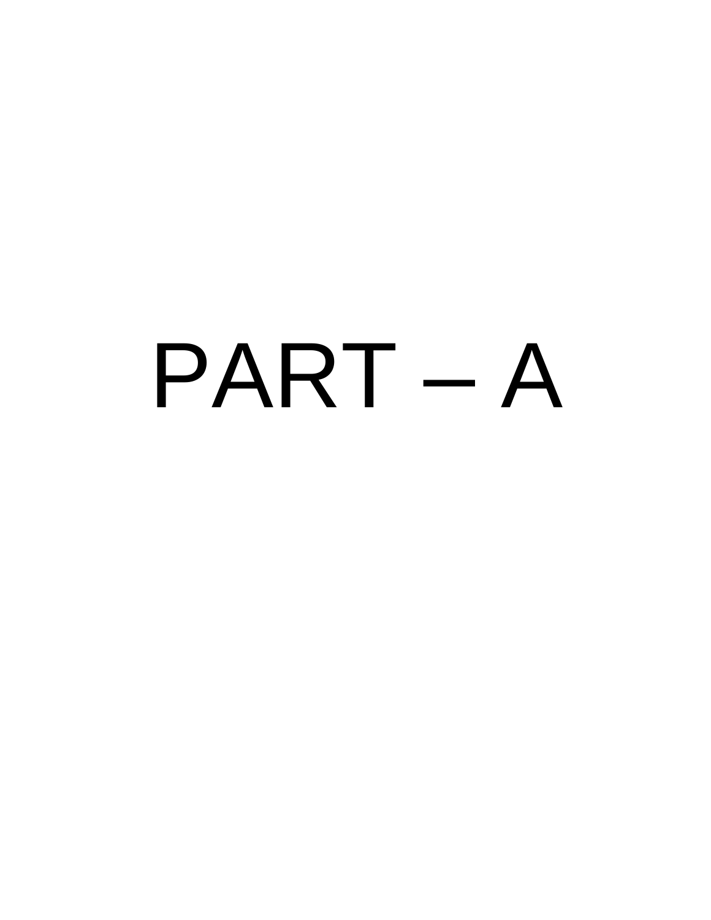# PART – A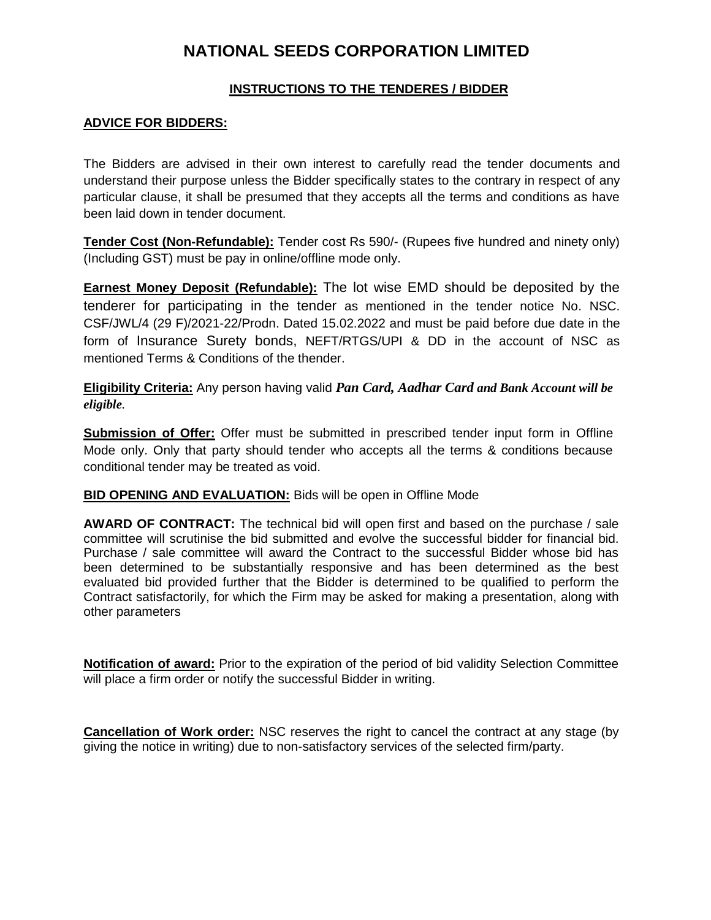### **NATIONAL SEEDS CORPORATION LIMITED**

#### **INSTRUCTIONS TO THE TENDERES / BIDDER**

#### **ADVICE FOR BIDDERS:**

The Bidders are advised in their own interest to carefully read the tender documents and understand their purpose unless the Bidder specifically states to the contrary in respect of any particular clause, it shall be presumed that they accepts all the terms and conditions as have been laid down in tender document.

**Tender Cost (Non-Refundable):** Tender cost Rs 590/- (Rupees five hundred and ninety only) (Including GST) must be pay in online/offline mode only.

**Earnest Money Deposit (Refundable):** The lot wise EMD should be deposited by the tenderer for participating in the tender as mentioned in the tender notice No. NSC. CSF/JWL/4 (29 F)/2021-22/Prodn. Dated 15.02.2022 and must be paid before due date in the form of Insurance Surety bonds, NEFT/RTGS/UPI & DD in the account of NSC as mentioned Terms & Conditions of the thender.

**Eligibility Criteria:** Any person having valid *Pan Card, Aadhar Card and Bank Account will be eligible.*

**Submission of Offer:** Offer must be submitted in prescribed tender input form in Offline Mode only. Only that party should tender who accepts all the terms & conditions because conditional tender may be treated as void.

#### **BID OPENING AND EVALUATION:** Bids will be open in Offline Mode

**AWARD OF CONTRACT:** The technical bid will open first and based on the purchase / sale committee will scrutinise the bid submitted and evolve the successful bidder for financial bid. Purchase / sale committee will award the Contract to the successful Bidder whose bid has been determined to be substantially responsive and has been determined as the best evaluated bid provided further that the Bidder is determined to be qualified to perform the Contract satisfactorily, for which the Firm may be asked for making a presentation, along with other parameters

**Notification of award:** Prior to the expiration of the period of bid validity Selection Committee will place a firm order or notify the successful Bidder in writing.

**Cancellation of Work order:** NSC reserves the right to cancel the contract at any stage (by giving the notice in writing) due to non-satisfactory services of the selected firm/party.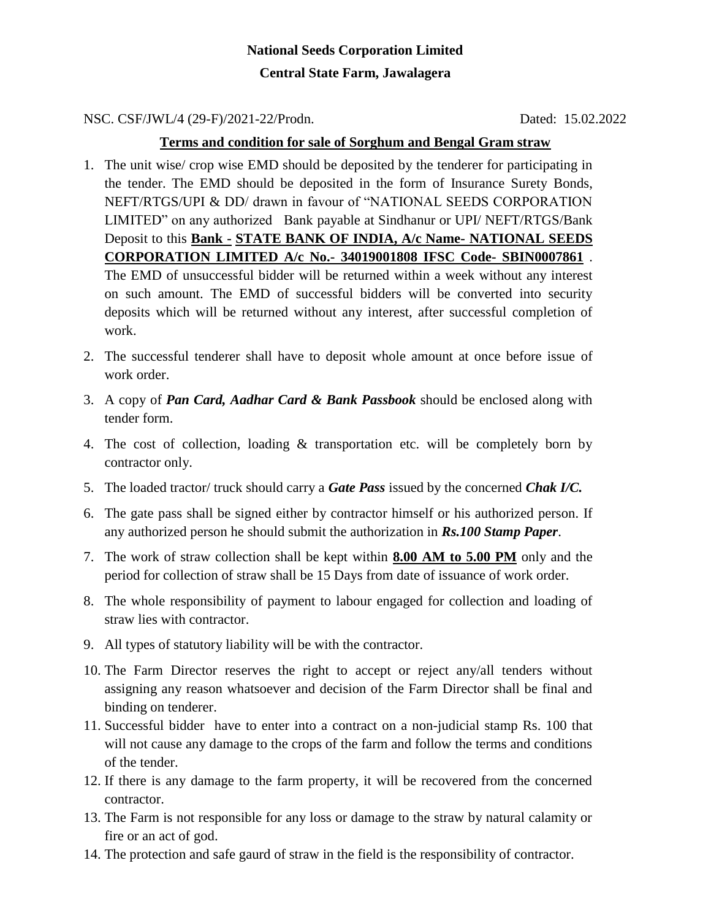## **National Seeds Corporation Limited Central State Farm, Jawalagera**

NSC. CSF/JWL/4 (29-F)/2021-22/Prodn. Dated: 15.02.2022

#### **Terms and condition for sale of Sorghum and Bengal Gram straw**

1. The unit wise/ crop wise EMD should be deposited by the tenderer for participating in the tender. The EMD should be deposited in the form of Insurance Surety Bonds, NEFT/RTGS/UPI & DD/ drawn in favour of "NATIONAL SEEDS CORPORATION LIMITED" on any authorized Bank payable at Sindhanur or UPI/ NEFT/RTGS/Bank Deposit to this **Bank - STATE BANK OF INDIA, A/c Name- NATIONAL SEEDS CORPORATION LIMITED A/c No.- 34019001808 IFSC Code- SBIN0007861** . The EMD of unsuccessful bidder will be returned within a week without any interest on such amount. The EMD of successful bidders will be converted into security deposits which will be returned without any interest, after successful completion of

work. 2. The successful tenderer shall have to deposit whole amount at once before issue of

- work order.
- 3. A copy of *Pan Card, Aadhar Card & Bank Passbook* should be enclosed along with tender form.
- 4. The cost of collection, loading & transportation etc. will be completely born by contractor only.
- 5. The loaded tractor/ truck should carry a *Gate Pass* issued by the concerned *Chak I/C.*
- 6. The gate pass shall be signed either by contractor himself or his authorized person. If any authorized person he should submit the authorization in *Rs.100 Stamp Paper*.
- 7. The work of straw collection shall be kept within **8.00 AM to 5.00 PM** only and the period for collection of straw shall be 15 Days from date of issuance of work order.
- 8. The whole responsibility of payment to labour engaged for collection and loading of straw lies with contractor.
- 9. All types of statutory liability will be with the contractor.
- 10. The Farm Director reserves the right to accept or reject any/all tenders without assigning any reason whatsoever and decision of the Farm Director shall be final and binding on tenderer.
- 11. Successful bidder have to enter into a contract on a non-judicial stamp Rs. 100 that will not cause any damage to the crops of the farm and follow the terms and conditions of the tender.
- 12. If there is any damage to the farm property, it will be recovered from the concerned contractor.
- 13. The Farm is not responsible for any loss or damage to the straw by natural calamity or fire or an act of god.
- 14. The protection and safe gaurd of straw in the field is the responsibility of contractor.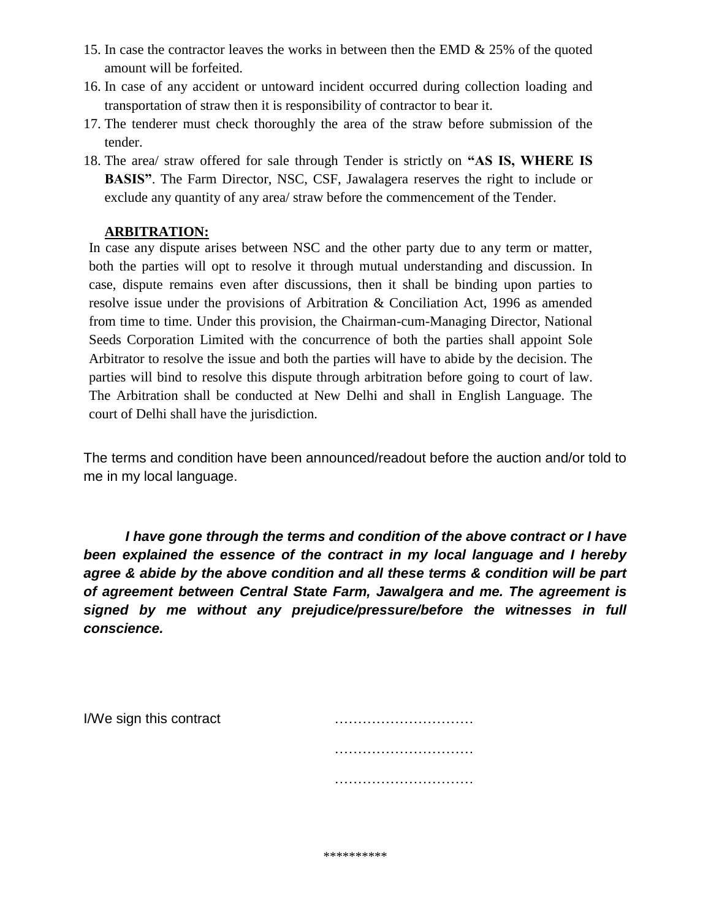- 15. In case the contractor leaves the works in between then the EMD & 25% of the quoted amount will be forfeited.
- 16. In case of any accident or untoward incident occurred during collection loading and transportation of straw then it is responsibility of contractor to bear it.
- 17. The tenderer must check thoroughly the area of the straw before submission of the tender.
- 18. The area/ straw offered for sale through Tender is strictly on **"AS IS, WHERE IS BASIS"**. The Farm Director, NSC, CSF, Jawalagera reserves the right to include or exclude any quantity of any area/ straw before the commencement of the Tender.

#### **ARBITRATION:**

In case any dispute arises between NSC and the other party due to any term or matter, both the parties will opt to resolve it through mutual understanding and discussion. In case, dispute remains even after discussions, then it shall be binding upon parties to resolve issue under the provisions of Arbitration & Conciliation Act, 1996 as amended from time to time. Under this provision, the Chairman-cum-Managing Director, National Seeds Corporation Limited with the concurrence of both the parties shall appoint Sole Arbitrator to resolve the issue and both the parties will have to abide by the decision. The parties will bind to resolve this dispute through arbitration before going to court of law. The Arbitration shall be conducted at New Delhi and shall in English Language. The court of Delhi shall have the jurisdiction.

The terms and condition have been announced/readout before the auction and/or told to me in my local language.

*I have gone through the terms and condition of the above contract or I have been explained the essence of the contract in my local language and I hereby agree & abide by the above condition and all these terms & condition will be part of agreement between Central State Farm, Jawalgera and me. The agreement is signed by me without any prejudice/pressure/before the witnesses in full conscience.* 

| I/We sign this contract |  |
|-------------------------|--|
|                         |  |
|                         |  |